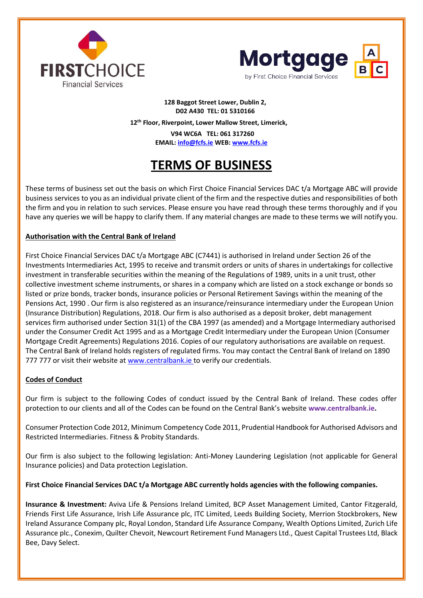



# **128 Baggot Street Lower, Dublin 2, D02 A430 TEL: 01 5310166 12th Floor, Riverpoint, Lower Mallow Street, Limerick,**

 **V94 WC6A TEL: 061 317260 EMAIL: [info@fcfs.ie](mailto:info@fcfs.ie) WEB: [www.fcfs.ie](http://www.fcfs.ie/)**

# **TERMS OF BUSINESS**

These terms of business set out the basis on which First Choice Financial Services DAC t/a Mortgage ABC will provide business services to you as an individual private client of the firm and the respective duties and responsibilities of both the firm and you in relation to such services. Please ensure you have read through these terms thoroughly and if you have any queries we will be happy to clarify them. If any material changes are made to these terms we will notify you.

# **Authorisation with the Central Bank of Ireland**

First Choice Financial Services DAC t/a Mortgage ABC (C7441) is authorised in Ireland under Section 26 of the Investments Intermediaries Act, 1995 to receive and transmit orders or units of shares in undertakings for collective investment in transferable securities within the meaning of the Regulations of 1989, units in a unit trust, other collective investment scheme instruments, or shares in a company which are listed on a stock exchange or bonds so listed or prize bonds, tracker bonds, insurance policies or Personal Retirement Savings within the meaning of the Pensions Act, 1990 . Our firm is also registered as an insurance/reinsurance intermediary under the European Union (Insurance Distribution) Regulations, 2018. Our firm is also authorised as a deposit broker, debt management services firm authorised under Section 31(1) of the CBA 1997 (as amended) and a Mortgage Intermediary authorised under the Consumer Credit Act 1995 and as a Mortgage Credit Intermediary under the European Union (Consumer Mortgage Credit Agreements) Regulations 2016. Copies of our regulatory authorisations are available on request. The Central Bank of Ireland holds registers of regulated firms. You may contact the Central Bank of Ireland on 1890 777 777 or visit their website at www.centralbank.ie to verify our credentials.

# **Codes of Conduct**

Our firm is subject to the following Codes of conduct issued by the Central Bank of Ireland. These codes offer protection to our clients and all of the Codes can be found on the Central Bank's website **[www.centralbank.ie.](http://www.centralbank.ie/)**

Consumer Protection Code 2012, Minimum Competency Code 2011, Prudential Handbook for Authorised Advisors and Restricted Intermediaries. Fitness & Probity Standards.

Our firm is also subject to the following legislation: Anti-Money Laundering Legislation (not applicable for General Insurance policies) and Data protection Legislation.

# **First Choice Financial Services DAC t/a Mortgage ABC currently holds agencies with the following companies.**

**Insurance & Investment:** Aviva Life & Pensions Ireland Limited, BCP Asset Management Limited, Cantor Fitzgerald, Friends First Life Assurance, Irish Life Assurance plc, ITC Limited, Leeds Building Society, Merrion Stockbrokers, New Ireland Assurance Company plc, Royal London, Standard Life Assurance Company, Wealth Options Limited, Zurich Life Assurance plc., Conexim, Quilter Chevoit, Newcourt Retirement Fund Managers Ltd., Quest Capital Trustees Ltd, Black Bee, Davy Select.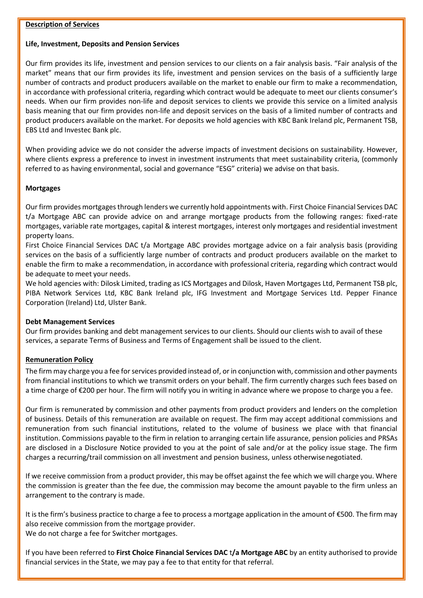#### **Description of Services**

## **Life, Investment, Deposits and Pension Services**

Our firm provides its life, investment and pension services to our clients on a fair analysis basis. "Fair analysis of the market" means that our firm provides its life, investment and pension services on the basis of a sufficiently large number of contracts and product producers available on the market to enable our firm to make a recommendation, in accordance with professional criteria, regarding which contract would be adequate to meet our clients consumer's needs. When our firm provides non-life and deposit services to clients we provide this service on a limited analysis basis meaning that our firm provides non-life and deposit services on the basis of a limited number of contracts and product producers available on the market. For deposits we hold agencies with KBC Bank Ireland plc, Permanent TSB, EBS Ltd and Investec Bank plc.

When providing advice we do not consider the adverse impacts of investment decisions on sustainability. However, where clients express a preference to invest in investment instruments that meet sustainability criteria, (commonly referred to as having environmental, social and governance "ESG" criteria) we advise on that basis.

# **Mortgages**

Our firm provides mortgages through lenders we currently hold appointments with. First Choice Financial Services DAC t/a Mortgage ABC can provide advice on and arrange mortgage products from the following ranges: fixed-rate mortgages, variable rate mortgages, capital & interest mortgages, interest only mortgages and residential investment property loans.

First Choice Financial Services DAC t/a Mortgage ABC provides mortgage advice on a fair analysis basis (providing services on the basis of a sufficiently large number of contracts and product producers available on the market to enable the firm to make a recommendation, in accordance with professional criteria, regarding which contract would be adequate to meet your needs.

We hold agencies with: Dilosk Limited, trading as ICS Mortgages and Dilosk, Haven Mortgages Ltd, Permanent TSB plc, PIBA Network Services Ltd, KBC Bank Ireland plc, IFG Investment and Mortgage Services Ltd. Pepper Finance Corporation (Ireland) Ltd, Ulster Bank.

## **Debt Management Services**

Our firm provides banking and debt management services to our clients. Should our clients wish to avail of these services, a separate Terms of Business and Terms of Engagement shall be issued to the client.

# **Remuneration Policy**

The firm may charge you a fee for services provided instead of, or in conjunction with, commission and other payments from financial institutions to which we transmit orders on your behalf. The firm currently charges such fees based on a time charge of €200 per hour. The firm will notify you in writing in advance where we propose to charge you a fee.

Our firm is remunerated by commission and other payments from product providers and lenders on the completion of business. Details of this remuneration are available on request. The firm may accept additional commissions and remuneration from such financial institutions, related to the volume of business we place with that financial institution. Commissions payable to the firm in relation to arranging certain life assurance, pension policies and PRSAs are disclosed in a Disclosure Notice provided to you at the point of sale and/or at the policy issue stage. The firm charges a recurring/trail commission on all investment and pension business, unless otherwisenegotiated.

If we receive commission from a product provider, this may be offset against the fee which we will charge you. Where the commission is greater than the fee due, the commission may become the amount payable to the firm unless an arrangement to the contrary is made.

It is the firm's business practice to charge a fee to process a mortgage application in the amount of €500. The firm may also receive commission from the mortgage provider. We do not charge a fee for Switcher mortgages.

If you have been referred to **First Choice Financial Services DAC** t**/a Mortgage ABC** by an entity authorised to provide financial services in the State, we may pay a fee to that entity for that referral.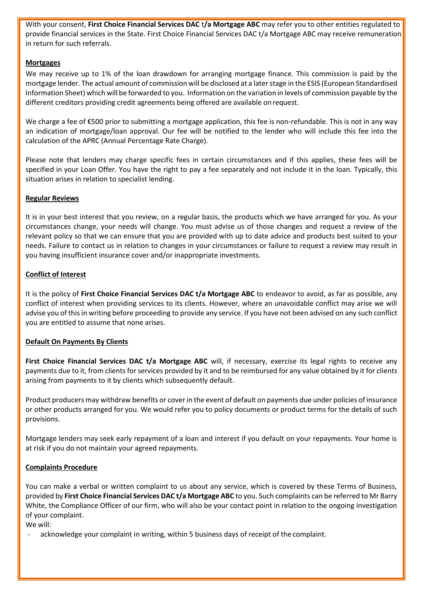With your consent, **First Choice Financial Services DAC** t**/a Mortgage ABC** may refer you to other entities regulated to provide financial services in the State. First Choice Financial Services DAC t/a Mortgage ABC may receive remuneration in return for such referrals.

# **Mortgages**

We may receive up to 1% of the loan drawdown for arranging mortgage finance. This commission is paid by the mortgage lender. The actual amount of commission will be disclosed at a later stage in the ESIS (European Standardised Information Sheet) which will be forwarded to you. Information on the variation in levels of commission payable by the different creditors providing credit agreements being offered are available onrequest.

We charge a fee of €500 prior to submitting a mortgage application, this fee is non-refundable. This is not in any way an indication of mortgage/loan approval. Our fee will be notified to the lender who will include this fee into the calculation of the APRC (Annual Percentage Rate Charge).

Please note that lenders may charge specific fees in certain circumstances and if this applies, these fees will be specified in your Loan Offer. You have the right to pay a fee separately and not include it in the loan. Typically, this situation arises in relation to specialist lending.

# **Regular Reviews**

It is in your best interest that you review, on a regular basis, the products which we have arranged for you. As your circumstances change, your needs will change. You must advise us of those changes and request a review of the relevant policy so that we can ensure that you are provided with up to date advice and products best suited to your needs. Failure to contact us in relation to changes in your circumstances or failure to request a review may result in you having insufficient insurance cover and/or inappropriate investments.

# **Conflict of Interest**

It is the policy of **First Choice Financial Services DAC t/a Mortgage ABC** to endeavor to avoid, as far as possible, any conflict of interest when providing services to its clients. However, where an unavoidable conflict may arise we will advise you of this in writing before proceeding to provide any service. If you have not been advised on any such conflict you are entitled to assume that none arises.

## **Default On Payments By Clients**

**First Choice Financial Services DAC t/a Mortgage ABC** will, if necessary, exercise its legal rights to receive any payments due to it, from clients for services provided by it and to be reimbursed for any value obtained by it for clients arising from payments to it by clients which subsequently default.

Product producers may withdraw benefits or coverin the event of default on payments due under policies of insurance or other products arranged for you. We would refer you to policy documents or product terms for the details of such provisions.

Mortgage lenders may seek early repayment of a loan and interest if you default on your repayments. Your home is at risk if you do not maintain your agreed repayments.

## **Complaints Procedure**

You can make a verbal or written complaint to us about any service, which is covered by these Terms of Business, provided by **First Choice Financial Services DAC t/a Mortgage ABC** to you. Such complaints can be referred to Mr Barry White, the Compliance Officer of our firm, who will also be your contact point in relation to the ongoing investigation of your complaint.

We will:

acknowledge your complaint in writing, within 5 business days of receipt of the complaint.